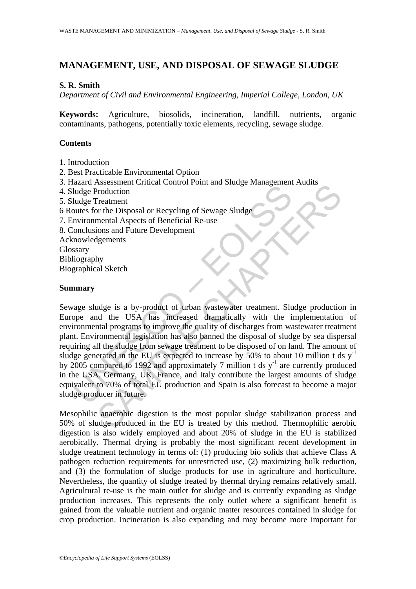# **MANAGEMENT, USE, AND DISPOSAL OF SEWAGE SLUDGE**

## **S. R. Smith**

*Department of Civil and Environmental Engineering, Imperial College, London, UK* 

**Keywords:** Agriculture, biosolids, incineration, landfill, nutrients, organic contaminants, pathogens, potentially toxic elements, recycling, sewage sludge.

## **Contents**

- 1. Introduction
- 2. Best Practicable Environmental Option
- 3. Hazard Assessment Critical Control Point and Sludge Management Audits
- 4. Sludge Production
- 5. Sludge Treatment
- 6 Routes for the Disposal or Recycling of Sewage Sludge
- 7. Environmental Aspects of Beneficial Re-use
- 8. Conclusions and Future Development

Acknowledgements

Glossary

Bibliography

Biographical Sketch

### **Summary**

Ludge Production<br>
Ludge Production<br>
Ludge Production<br>
Invironmental Aspects of Beneficial Re-use<br>
oncolusions and Future Development<br>
conclusions and Future Development<br>
mowledgements<br>
mowledgements<br>
stary<br>
lusgraphy<br>
gra SAESSIMINGTON TO THE AND STANDARY CONDUCTOR<br>
Treatment and Shaped Special Re-use<br>
Treatment Aspects of Beneficial Re-use<br>
Internal Aspects of Beneficial Re-use<br>
Internal Aspects of Beneficial Re-use<br>
Internal Bergmans to i Sewage sludge is a by-product of urban wastewater treatment. Sludge production in Europe and the USA has increased dramatically with the implementation of environmental programs to improve the quality of discharges from wastewater treatment plant. Environmental legislation has also banned the disposal of sludge by sea dispersal requiring all the sludge from sewage treatment to be disposed of on land. The amount of sludge generated in the EU is expected to increase by  $50\%$  to about 10 million t ds y<sup>-1</sup> by  $2005$  compared to 1992 and approximately 7 million t ds  $y^{-1}$  are currently produced in the USA. Germany, UK, France, and Italy contribute the largest amounts of sludge equivalent to 70% of total EU production and Spain is also forecast to become a major sludge producer in future.

Mesophilic anaerobic digestion is the most popular sludge stabilization process and 50% of sludge produced in the EU is treated by this method. Thermophilic aerobic digestion is also widely employed and about 20% of sludge in the EU is stabilized aerobically. Thermal drying is probably the most significant recent development in sludge treatment technology in terms of: (1) producing bio solids that achieve Class A pathogen reduction requirements for unrestricted use, (2) maximizing bulk reduction, and (3) the formulation of sludge products for use in agriculture and horticulture. Nevertheless, the quantity of sludge treated by thermal drying remains relatively small. Agricultural re-use is the main outlet for sludge and is currently expanding as sludge production increases. This represents the only outlet where a significant benefit is gained from the valuable nutrient and organic matter resources contained in sludge for crop production. Incineration is also expanding and may become more important for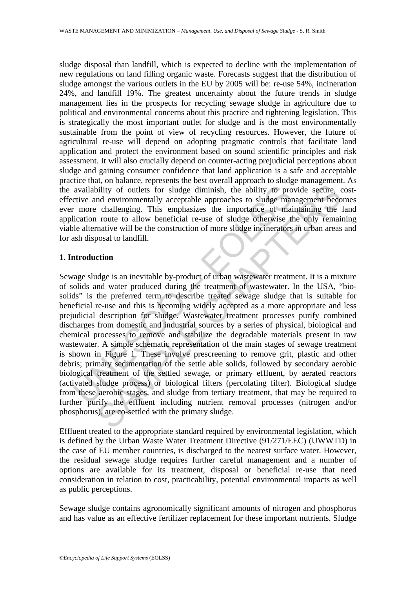sludge disposal than landfill, which is expected to decline with the implementation of new regulations on land filling organic waste. Forecasts suggest that the distribution of sludge amongst the various outlets in the EU by 2005 will be: re-use 54%, incineration 24%, and landfill 19%. The greatest uncertainty about the future trends in sludge management lies in the prospects for recycling sewage sludge in agriculture due to political and environmental concerns about this practice and tightening legislation. This is strategically the most important outlet for sludge and is the most environmentally sustainable from the point of view of recycling resources. However, the future of agricultural re-use will depend on adopting pragmatic controls that facilitate land application and protect the environment based on sound scientific principles and risk assessment. It will also crucially depend on counter-acting prejudicial perceptions about sludge and gaining consumer confidence that land application is a safe and acceptable practice that, on balance, represents the best overall approach to sludge management. As the availability of outlets for sludge diminish, the ability to provide secure, costeffective and environmentally acceptable approaches to sludge management becomes ever more challenging. This emphasizes the importance of maintaining the land application route to allow beneficial re-use of sludge otherwise the only remaining viable alternative will be the construction of more sludge incinerators in urban areas and for ash disposal to landfill.

### **1. Introduction**

availability of outlets for sludge diminish, the ability to pro<br>citive and environmentally acceptable approaches to sludge mar-<br>more challenging. This emphasizes the importance of mailication route to allow beneficial re-u Solution of the principle and stabilizer the model and a stability of outlets for sludge diminish, the ability to provide secure, and environmentally acceptable approaches to sludge management becomedineping. This emphasiz Sewage sludge is an inevitable by-product of urban wastewater treatment. It is a mixture of solids and water produced during the treatment of wastewater. In the USA, "biosolids" is the preferred term to describe treated sewage sludge that is suitable for beneficial re-use and this is becoming widely accepted as a more appropriate and less prejudicial description for sludge. Wastewater treatment processes purify combined discharges from domestic and industrial sources by a series of physical, biological and chemical processes to remove and stabilize the degradable materials present in raw wastewater. A simple schematic representation of the main stages of sewage treatment is shown in Figure 1. These involve prescreening to remove grit, plastic and other debris; primary sedimentation of the settle able solids, followed by secondary aerobic biological treatment of the settled sewage, or primary effluent, by aerated reactors (activated sludge process) or biological filters (percolating filter). Biological sludge from these aerobic stages, and sludge from tertiary treatment, that may be required to further purify the effluent including nutrient removal processes (nitrogen and/or phosphorus), are co-settled with the primary sludge.

Effluent treated to the appropriate standard required by environmental legislation, which is defined by the Urban Waste Water Treatment Directive (91/271/EEC) (UWWTD) in the case of EU member countries, is discharged to the nearest surface water. However, the residual sewage sludge requires further careful management and a number of options are available for its treatment, disposal or beneficial re-use that need consideration in relation to cost, practicability, potential environmental impacts as well as public perceptions.

Sewage sludge contains agronomically significant amounts of nitrogen and phosphorus and has value as an effective fertilizer replacement for these important nutrients. Sludge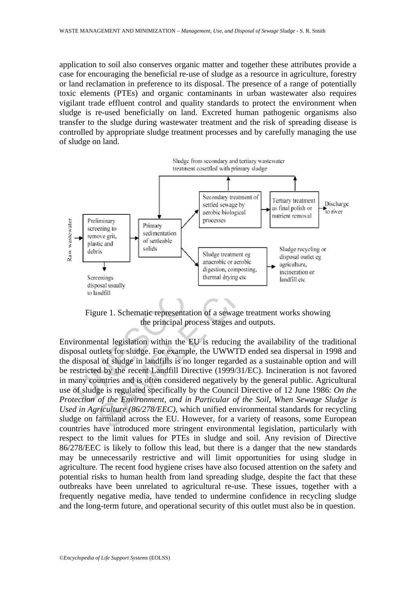application to soil also conserves organic matter and together these attributes provide a case for encouraging the beneficial re-use of sludge as a resource in agriculture, forestry or land reclamation in preference to its disposal. The presence of a range of potentially toxic elements (PTEs) and organic contaminants in urban wastewater also requires vigilant trade effluent control and quality standards to protect the environment when sludge is re-used beneficially on land. Excreted human pathogenic organisms also transfer to the sludge during wastewater treatment and the risk of spreading disease is controlled by appropriate sludge treatment processes and by carefully managing the use of sludge on land.



Figure 1. Schematic representation of a sewage treatment works showing the principal process stages and outputs.

Environmental legislation within the EU is reducing the availability of the traditional disposal outlets for sludge. For example, the UWWTD ended sea dispersal in 1998 and the disposal of sludge in landfills is no longer regarded as a sustainable option and will be restricted by the recent Landfill Directive (1999/31/EC). Incineration is not favored in many countries and is often considered negatively by the general public. Agricultural use of sludge is regulated specifically by the Council Directive of 12 June 1986: *On the Protection of the Environment, and in Particular of the Soil, When Sewage Sludge is Used in Agriculture (86/278/EEC)*, which unified environmental standards for recycling sludge on farmland across the EU. However, for a variety of reasons, some European countries have introduced more stringent environmental legislation, particularly with respect to the limit values for PTEs in sludge and soil. Any revision of Directive 86/278/EEC is likely to follow this lead, but there is a danger that the new standards may be unnecessarily restrictive and will limit opportunities for using sludge in agriculture. The recent food hygiene crises have also focused attention on the safety and potential risks to human health from land spreading sludge, despite the fact that these outbreaks have been unrelated to agricultural re-use. These issues, together with a frequently negative media, have tended to undermine confidence in recycling sludge and the long-term future, and operational security of this outlet must also be in question.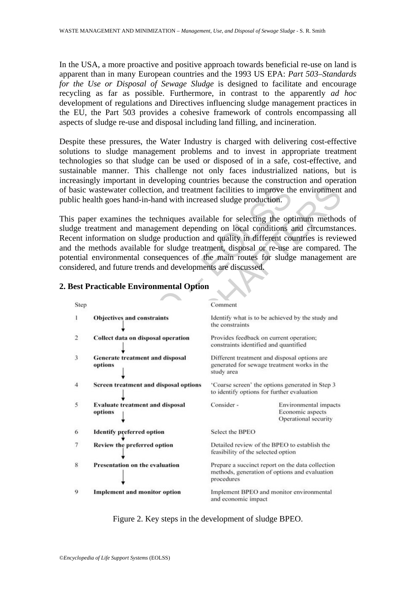In the USA, a more proactive and positive approach towards beneficial re-use on land is apparent than in many European countries and the 1993 US EPA: *Part 503–Standards for the Use or Disposal of Sewage Sludge* is designed to facilitate and encourage recycling as far as possible. Furthermore, in contrast to the apparently *ad hoc* development of regulations and Directives influencing sludge management practices in the EU, the Part 503 provides a cohesive framework of controls encompassing all aspects of sludge re-use and disposal including land filling, and incineration.

Despite these pressures, the Water Industry is charged with delivering cost-effective solutions to sludge management problems and to invest in appropriate treatment technologies so that sludge can be used or disposed of in a safe, cost-effective, and sustainable manner. This challenge not only faces industrialized nations, but is increasingly important in developing countries because the construction and operation of basic wastewater collection, and treatment facilities to improve the environment and public health goes hand-in-hand with increased sludge production.

This paper examines the techniques available for selecting the optimum methods of sludge treatment and management depending on local conditions and circumstances. Recent information on sludge production and quality in different countries is reviewed and the methods available for sludge treatment, disposal or re-use are compared. The potential environmental consequences of the main routes for sludge management are considered, and future trends and developments are discussed.



## **2. Best Practicable Environmental Option**

Figure 2. Key steps in the development of sludge BPEO.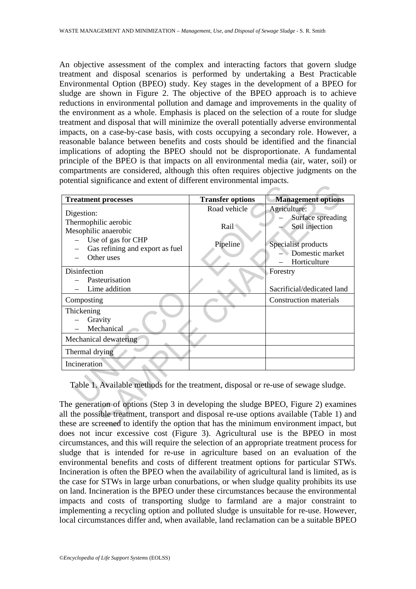An objective assessment of the complex and interacting factors that govern sludge treatment and disposal scenarios is performed by undertaking a Best Practicable Environmental Option (BPEO) study. Key stages in the development of a BPEO for sludge are shown in Figure 2. The objective of the BPEO approach is to achieve reductions in environmental pollution and damage and improvements in the quality of the environment as a whole. Emphasis is placed on the selection of a route for sludge treatment and disposal that will minimize the overall potentially adverse environmental impacts, on a case-by-case basis, with costs occupying a secondary role. However, a reasonable balance between benefits and costs should be identified and the financial implications of adopting the BPEO should not be disproportionate. A fundamental principle of the BPEO is that impacts on all environmental media (air, water, soil) or compartments are considered, although this often requires objective judgments on the potential significance and extent of different environmental impacts.

| <b>Treatment processes</b>                                                                | <b>Transfer options</b> | <b>Management options</b>                |
|-------------------------------------------------------------------------------------------|-------------------------|------------------------------------------|
| Digestion:                                                                                | Road vehicle            | Agriculture:                             |
| Thermophilic aerobic                                                                      |                         | Surface spreading                        |
| Mesophilic anaerobic                                                                      | Rail                    | Soil injection                           |
| Use of gas for CHP                                                                        |                         |                                          |
| Gas refining and export as fuel                                                           | Pipeline                | Specialist products<br>- Domestic market |
| Other uses                                                                                |                         | Horticulture                             |
| Disinfection                                                                              |                         | Forestry                                 |
| Pasteurisation                                                                            |                         |                                          |
| Lime addition                                                                             |                         | Sacrificial/dedicated land               |
| Composting                                                                                |                         | <b>Construction materials</b>            |
| Thickening                                                                                |                         |                                          |
| Gravity                                                                                   |                         |                                          |
| Mechanical                                                                                |                         |                                          |
| Mechanical dewatering                                                                     |                         |                                          |
| Thermal drying                                                                            |                         |                                          |
| Incineration                                                                              |                         |                                          |
|                                                                                           |                         |                                          |
| Table 1. Available methods for the treatment, disposal or re-use of sewage sludge.        |                         |                                          |
|                                                                                           |                         |                                          |
| The generation of options (Step 3 in developing the sludge BPEO, Figure 2) examine        |                         |                                          |
| all the possible treatment, transport and disposal re-use options available (Table 1) and |                         |                                          |
| these are screened to identify the option that has the minimum environment impact, but    |                         |                                          |

The generation of options (Step 3 in developing the sludge BPEO, Figure 2) examines all the possible treatment, transport and disposal re-use options available (Table 1) and these are screened to identify the option that has the minimum environment impact, but does not incur excessive cost (Figure 3). Agricultural use is the BPEO in most circumstances, and this will require the selection of an appropriate treatment process for sludge that is intended for re-use in agriculture based on an evaluation of the environmental benefits and costs of different treatment options for particular STWs. Incineration is often the BPEO when the availability of agricultural land is limited, as is the case for STWs in large urban conurbations, or when sludge quality prohibits its use on land. Incineration is the BPEO under these circumstances because the environmental impacts and costs of transporting sludge to farmland are a major constraint to implementing a recycling option and polluted sludge is unsuitable for re-use. However, local circumstances differ and, when available, land reclamation can be a suitable BPEO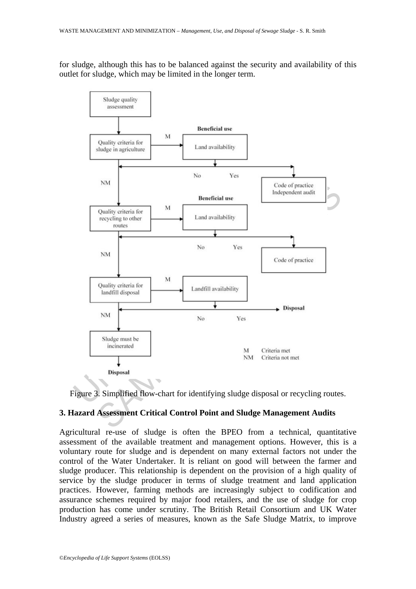for sludge, although this has to be balanced against the security and availability of this outlet for sludge, which may be limited in the longer term.





## **3. Hazard Assessment Critical Control Point and Sludge Management Audits**

Agricultural re-use of sludge is often the BPEO from a technical, quantitative assessment of the available treatment and management options. However, this is a voluntary route for sludge and is dependent on many external factors not under the control of the Water Undertaker. It is reliant on good will between the farmer and sludge producer. This relationship is dependent on the provision of a high quality of service by the sludge producer in terms of sludge treatment and land application practices. However, farming methods are increasingly subject to codification and assurance schemes required by major food retailers, and the use of sludge for crop production has come under scrutiny. The British Retail Consortium and UK Water Industry agreed a series of measures, known as the Safe Sludge Matrix, to improve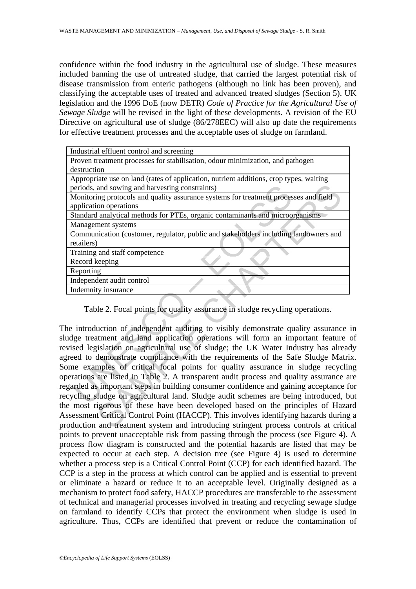confidence within the food industry in the agricultural use of sludge. These measures included banning the use of untreated sludge, that carried the largest potential risk of disease transmission from enteric pathogens (although no link has been proven), and classifying the acceptable uses of treated and advanced treated sludges (Section 5). UK legislation and the 1996 DoE (now DETR) *Code of Practice for the Agricultural Use of Sewage Sludge* will be revised in the light of these developments. A revision of the EU Directive on agricultural use of sludge (86/278EEC) will also up date the requirements for effective treatment processes and the acceptable uses of sludge on farmland.

| Industrial effluent control and screening                                                          |
|----------------------------------------------------------------------------------------------------|
| Proven treatment processes for stabilisation, odour minimization, and pathogen                     |
| destruction                                                                                        |
| Appropriate use on land (rates of application, nutrient additions, crop types, waiting             |
| periods, and sowing and harvesting constraints)                                                    |
| Monitoring protocols and quality assurance systems for treatment processes and field               |
| application operations                                                                             |
| Standard analytical methods for PTEs, organic contaminants and microorganisms                      |
| Management systems                                                                                 |
| Communication (customer, regulator, public and stakeholders including landowners and<br>retailers) |
| Training and staff competence                                                                      |
| Record keeping                                                                                     |
| Reporting                                                                                          |
| Independent audit control                                                                          |
| Indemnity insurance                                                                                |
| Table 2. Focal points for quality assurance in sludge recycling operations.                        |
| he introduction of independent auditing to visibly demonstrate quality assurance i                 |
| udge treatment and land application operations will form an important feature of                   |
| vised legislation on agricultural use of sludge; the UK Water Industry has alread                  |
| greed to demonstrate compliance with the requirements of the Safe Sludge Matri                     |
| ome examples of critical focal points for quality assurance in sludge recycling                    |
| perations are listed in Table 2. A transparent audit process and quality assurance an              |
| garded as important steps in building consumer confidence and gaining acceptance fo                |
| cycling sludge on agricultural land. Sludge audit schemes are being introduced, b                  |
| e most rigorous of these have been developed based on the principles of Hazar                      |
| ssessment Critical Control Point (HACCP). This involves identifying hazards during                 |
| coduction and treatment system and introducing stringent process controls at critic                |
|                                                                                                    |

The introduction of independent auditing to visibly demonstrate quality assurance in sludge treatment and land application operations will form an important feature of revised legislation on agricultural use of sludge; the UK Water Industry has already agreed to demonstrate compliance with the requirements of the Safe Sludge Matrix. Some examples of critical focal points for quality assurance in sludge recycling operations are listed in Table 2. A transparent audit process and quality assurance are regarded as important steps in building consumer confidence and gaining acceptance for recycling sludge on agricultural land. Sludge audit schemes are being introduced, but the most rigorous of these have been developed based on the principles of Hazard Assessment Critical Control Point (HACCP). This involves identifying hazards during a production and treatment system and introducing stringent process controls at critical points to prevent unacceptable risk from passing through the process (see Figure 4). A process flow diagram is constructed and the potential hazards are listed that may be expected to occur at each step. A decision tree (see Figure 4) is used to determine whether a process step is a Critical Control Point (CCP) for each identified hazard. The CCP is a step in the process at which control can be applied and is essential to prevent or eliminate a hazard or reduce it to an acceptable level. Originally designed as a mechanism to protect food safety, HACCP procedures are transferable to the assessment of technical and managerial processes involved in treating and recycling sewage sludge on farmland to identify CCPs that protect the environment when sludge is used in agriculture. Thus, CCPs are identified that prevent or reduce the contamination of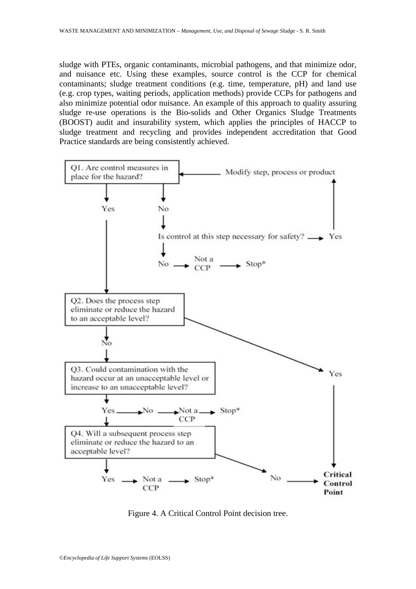sludge with PTEs, organic contaminants, microbial pathogens, and that minimize odor, and nuisance etc. Using these examples, source control is the CCP for chemical contaminants; sludge treatment conditions (e.g. time, temperature, pH) and land use (e.g. crop types, waiting periods, application methods) provide CCPs for pathogens and also minimize potential odor nuisance. An example of this approach to quality assuring sludge re-use operations is the Bio-solids and Other Organics Sludge Treatments (BOOST) audit and insurability system, which applies the principles of HACCP to sludge treatment and recycling and provides independent accreditation that Good Practice standards are being consistently achieved.



Figure 4. A Critical Control Point decision tree.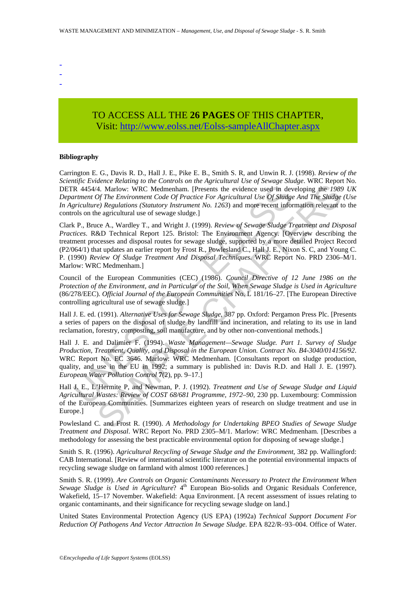- -
- -
- -

# TO ACCESS ALL THE **26 PAGES** OF THIS CHAPTER, Visi[t: http://www.eolss.net/Eolss-sampleAllChapter.aspx](https://www.eolss.net/ebooklib/sc_cart.aspx?File=E4-13-01-11)

#### **Bibliography**

Carrington E. G., Davis R. D., Hall J. E., Pike E. B., Smith S. R, and Unwin R. J. (1998). *Review of the Scientific Evidence Relating to the Controls on the Agricultural Use of Sewage Sludge*. WRC Report No. DETR 4454/4. Marlow: WRC Medmenham. [Presents the evidence used in developing the *1989 UK Department Of The Environment Code Of Practice For Agricultural Use Of Sludge And The Sludge (Use In Agriculture) Regulations (Statutory Instrument No. 1263*) and more recent information relevant to the controls on the agricultural use of sewage sludge.]

R 4454/4. Marlow: WRC Medmenham. [Presents the evidence used in dev<br>
TR 4454/4. Marlow: WRC Medmenham. [Presents the evidence used in dev<br>
terment Of The Environment Code Of Practice For Agricultural Use Of Shudge<br>
relatio 4. Marlow: WRC Medimenham. (Presents the evidence used in developing the 1988)<br>
(*Fi E Environment Code Of Practicle For Agricultural Use Of Slitdge And The Slitdge<br>
(<i>F)* (*FE Environment Code Of Practicle For Agricultur* Clark P., Bruce A., Wardley T., and Wright J. (1999). *Review of Sewage Sludge Treatment and Disposal Practices*. R&D Technical Report 125. Bristol: The Environment Agency. [Overview describing the treatment processes and disposal routes for sewage sludge, supported by a more detailed Project Record (P2/064/1) that updates an earlier report by Frost R., Powlesland C., Hall J. E., Nixon S. C, and Young C. P. (1990) *Review Of Sludge Treatment And Disposal Techniques*. WRC Report No. PRD 2306–M/1. Marlow: WRC Medmenham.]

Council of the European Communities (CEC) (1986). *Council Directive of 12 June 1986 on the Protection of the Environment, and in Particular of the Soil, When Sewage Sludge is Used in Agriculture* (86/278/EEC). *Official Journal of the European Communities* No. L 181/16–27. [The European Directive controlling agricultural use of sewage sludge.]

Hall J. E. ed. (1991). *Alternative Uses for Sewage Sludge*, 387 pp. Oxford: Pergamon Press Plc. [Presents a series of papers on the disposal of sludge by landfill and incineration, and relating to its use in land reclamation, forestry, composting, soil manufacture, and by other non-conventional methods.]

Hall J. E. and Dalimier F. (1994). *Waste Management—Sewage Sludge. Part 1. Survey of Sludge Production, Treatment, Quality, and Disposal in the European Union. Contract No. B4-3040/014156/92*. WRC Report No. EC 3646. Marlow: WRC Medmenham. [Consultants report on sludge production, quality, and use in the EU in 1992; a summary is published in: Davis R.D. and Hall J. E. (1997). *European Water Pollution Control* **7**(2), pp. 9–17.]

Hall J. E., L'Hermite P, and Newman, P. J. (1992). *Treatment and Use of Sewage Sludge and Liquid Agricultural Wastes: Review of COST 68/681 Programme, 1972–90*, 230 pp. Luxembourg: Commission of the European Communities. [Summarizes eighteen years of research on sludge treatment and use in Europe.]

Powlesland C. and Frost R. (1990). *A Methodology for Undertaking BPEO Studies of Sewage Sludge Treatment and Disposal*. WRC Report No. PRD 2305–M/1. Marlow: WRC Medmenham. [Describes a methodology for assessing the best practicable environmental option for disposing of sewage sludge.]

Smith S. R. (1996). *Agricultural Recycling of Sewage Sludge and the Environment*, 382 pp. Wallingford: CAB International. [Review of international scientific literature on the potential environmental impacts of recycling sewage sludge on farmland with almost 1000 references.]

Smith S. R. (1999). *Are Controls on Organic Contaminants Necessary to Protect the Environment When Sewage Sludge is Used in Agriculture*? 4<sup>th</sup> European Bio-solids and Organic Residuals Conference, Wakefield, 15–17 November. Wakefield: Aqua Environment. [A recent assessment of issues relating to organic contaminants, and their significance for recycling sewage sludge on land.]

United States Environmental Protection Agency (US EPA) (1992a) *Technical Support Document For Reduction Of Pathogens And Vector Attraction In Sewage Sludge*. EPA 822/R–93–004. Office of Water.